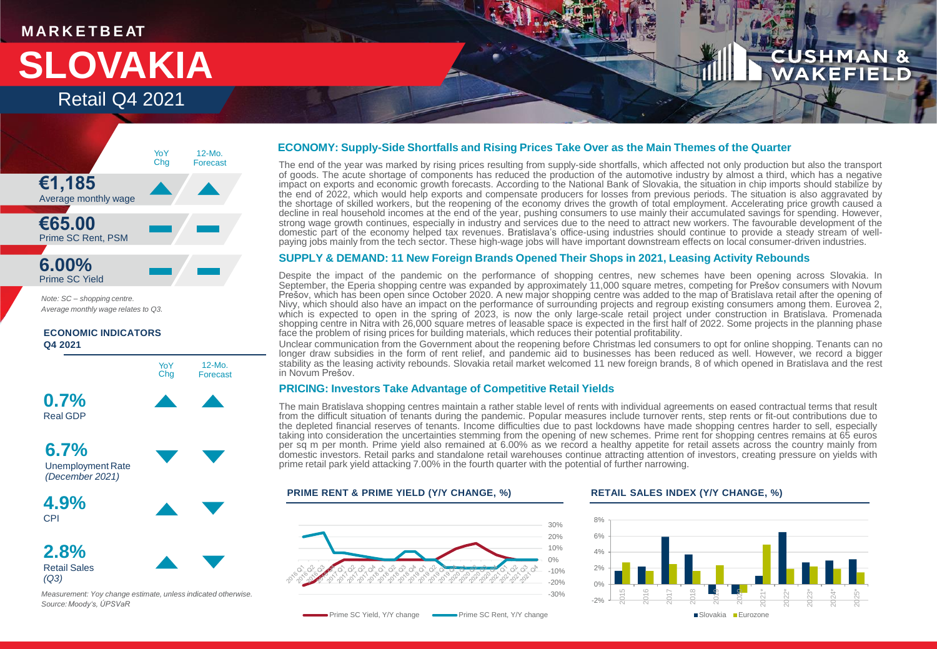# **M AR K E T B E AT**

# **SLOVAKIA** Retail Q4 2021

# CUSHMA **AKEFIEL**



*Note: SC – shopping centre. Average monthly wage relates to Q3.*

**ECONOMIC INDICATORS Q4 2021**



*(December 2021)*

**4.9%** CPI

**2.8%** Retail Sales *(Q3)*



*Measurement: Yoy change estimate, unless indicated otherwise. Source: Moody's, ÚPSVaR*

# **ECONOMY: Supply-Side Shortfalls and Rising Prices Take Over as the Main Themes of the Quarter**

The end of the year was marked by rising prices resulting from supply-side shortfalls, which affected not only production but also the transport of goods. The acute shortage of components has reduced the production of the automotive industry by almost a third, which has a negative impact on exports and economic growth forecasts. According to the National Bank of Slovakia, the situation in chip imports should stabilize by the end of 2022, which would help exports and compensate producers for losses from previous periods. The situation is also aggravated by the shortage of skilled workers, but the reopening of the economy drives the growth of total employment. Accelerating price growth caused a decline in real household incomes at the end of the year, pushing consumers to use mainly their accumulated savings for spending. However, strong wage growth continues, especially in industry and services due to the need to attract new workers. The favourable development of the domestic part of the economy helped tax revenues. Bratislava's office-using industries should continue to provide a steady stream of wellpaying jobs mainly from the tech sector. These high-wage jobs will have important downstream effects on local consumer-driven industries.

## **SUPPLY & DEMAND: 11 New Foreign Brands Opened Their Shops in 2021, Leasing Activity Rebounds**

Despite the impact of the pandemic on the performance of shopping centres, new schemes have been opening across Slovakia. In September, the Eperia shopping centre was expanded by approximately 11,000 square metres, competing for Prešov consumers with Novum Prešov, which has been open since October 2020. A new major shopping centre was added to the map of Bratislava retail after the opening of Nivy, which should also have an impact on the performance of surrounding projects and regroup existing consumers among them. Eurovea 2, which is expected to open in the spring of 2023, is now the only large-scale retail project under construction in Bratislava. Promenada shopping centre in Nitra with 26,000 square metres of leasable space is expected in the first half of 2022. Some projects in the planning phase face the problem of rising prices for building materials, which reduces their potential profitability.

Unclear communication from the Government about the reopening before Christmas led consumers to opt for online shopping. Tenants can no longer draw subsidies in the form of rent relief, and pandemic aid to businesses has been reduced as well. However, we record a bigger stability as the leasing activity rebounds. Slovakia retail market welcomed 11 new foreign brands, 8 of which opened in Bratislava and the rest in Novum Prešov.

# **PRICING: Investors Take Advantage of Competitive Retail Yields**

The main Bratislava shopping centres maintain a rather stable level of rents with individual agreements on eased contractual terms that result from the difficult situation of tenants during the pandemic. Popular measures include turnover rents, step rents or fit-out contributions due to the depleted financial reserves of tenants. Income difficulties due to past lockdowns have made shopping centres harder to sell, especially taking into consideration the uncertainties stemming from the opening of new schemes. Prime rent for shopping centres remains at 65 euros per sq m per month. Prime yield also remained at 6.00% as we record a healthy appetite for retail assets across the country mainly from domestic investors. Retail parks and standalone retail warehouses continue attracting attention of investors, creating pressure on yields with prime retail park yield attacking 7.00% in the fourth quarter with the potential of further narrowing.

### **PRIME RENT & PRIME YIELD (Y/Y CHANGE, %) RETAIL SALES INDEX (Y/Y CHANGE, %)**



Prime SC Yield, Y/Y change **CONCILLATE Prime SC Rent, Y/Y change**